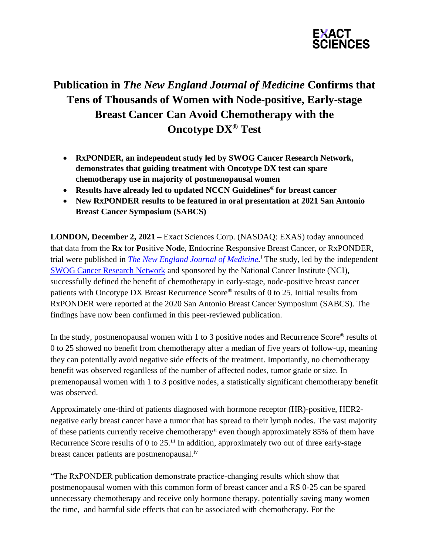

# **Publication in** *The New England Journal of Medicine* **Confirms that Tens of Thousands of Women with Node-positive, Early-stage Breast Cancer Can Avoid Chemotherapy with the Oncotype DX® Test**

- **RxPONDER, an independent study led by SWOG Cancer Research Network, demonstrates that guiding treatment with Oncotype DX test can spare chemotherapy use in majority of postmenopausal women**
- **Results have already led to updated NCCN Guidelines® for breast cancer**
- **New RxPONDER results to be featured in oral presentation at 2021 San Antonio Breast Cancer Symposium (SABCS)**

**LONDON, December 2, 2021 –** Exact Sciences Corp. (NASDAQ: EXAS) today announced that data from the **Rx** for **Po**sitive **N**o**d**e, **E**ndocrine **R**esponsive Breast Cancer, or RxPONDER, trial were published in *[The New England Journal of Medicine.](https://www.nejm.org/doi/full/10.1056/NEJMoa2108873?query=main_nav_lg) <sup>i</sup>* The study, led by the independent [SWOG Cancer Research Network](https://www.swog.org/clinical-trials/s1007) and sponsored by the National Cancer Institute (NCI), successfully defined the benefit of chemotherapy in early-stage, node-positive breast cancer patients with Oncotype DX Breast Recurrence Score® results of 0 to 25. Initial results from RxPONDER were reported at the 2020 San Antonio Breast Cancer Symposium (SABCS). The findings have now been confirmed in this peer-reviewed publication.

In the study, postmenopausal women with 1 to 3 positive nodes and Recurrence Score® results of 0 to 25 showed no benefit from chemotherapy after a median of five years of follow-up, meaning they can potentially avoid negative side effects of the treatment. Importantly, no chemotherapy benefit was observed regardless of the number of affected nodes, tumor grade or size. In premenopausal women with 1 to 3 positive nodes, a statistically significant chemotherapy benefit was observed.

Approximately one-third of patients diagnosed with hormone receptor (HR)-positive, HER2 negative early breast cancer have a tumor that has spread to their lymph nodes. The vast majority of these patients currently receive chemotherapyii even though approximately 85% of them have Recurrence Score results of 0 to 25.<sup>iii</sup> In addition, approximately two out of three early-stage breast cancer patients are postmenopausal.<sup>iv</sup>

"The RxPONDER publication demonstrate practice-changing results which show that postmenopausal women with this common form of breast cancer and a RS 0-25 can be spared unnecessary chemotherapy and receive only hormone therapy, potentially saving many women the time, and harmful side effects that can be associated with chemotherapy. For the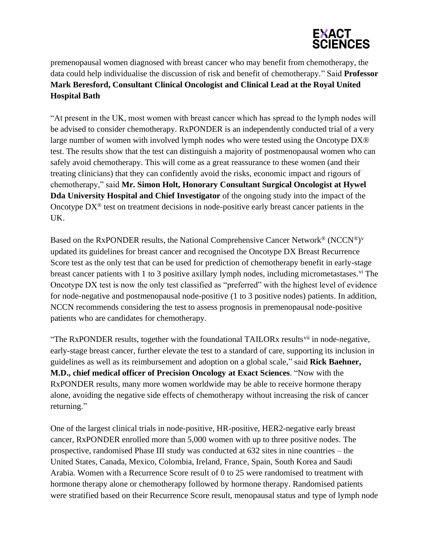

premenopausal women diagnosed with breast cancer who may benefit from chemotherapy, the data could help individualise the discussion of risk and benefit of chemotherapy." Said **Professor Mark Beresford, Consultant Clinical Oncologist and Clinical Lead at the Royal United Hospital Bath**

"At present in the UK, most women with breast cancer which has spread to the lymph nodes will be advised to consider chemotherapy. RxPONDER is an independently conducted trial of a very large number of women with involved lymph nodes who were tested using the Oncotype DX® test. The results show that the test can distinguish a majority of postmenopausal women who can safely avoid chemotherapy. This will come as a great reassurance to these women (and their treating clinicians) that they can confidently avoid the risks, economic impact and rigours of chemotherapy," said **Mr. Simon Holt, Honorary Consultant Surgical Oncologist at Hywel Dda University Hospital and Chief Investigator** of the ongoing study into the impact of the Oncotype DX® test on treatment decisions in node-positive early breast cancer patients in the UK.

Based on the RxPONDER results, the National Comprehensive Cancer Network<sup>®</sup> (NCCN<sup>®</sup>)<sup>v</sup> updated its guidelines for breast cancer and recognised the Oncotype DX Breast Recurrence Score test as the only test that can be used for prediction of chemotherapy benefit in early-stage breast cancer patients with 1 to 3 positive axillary lymph nodes, including micrometastases.<sup>vi</sup> The Oncotype DX test is now the only test classified as "preferred" with the highest level of evidence for node-negative and postmenopausal node-positive (1 to 3 positive nodes) patients. In addition, NCCN recommends considering the test to assess prognosis in premenopausal node-positive patients who are candidates for chemotherapy.

"The RxPONDER results, together with the foundational TAILORx results<sup>vii</sup> in node-negative, early-stage breast cancer, further elevate the test to a standard of care, supporting its inclusion in guidelines as well as its reimbursement and adoption on a global scale," said **Rick Baehner, M.D., chief medical officer of Precision Oncology at Exact Sciences**. "Now with the RxPONDER results, many more women worldwide may be able to receive hormone therapy alone, avoiding the negative side effects of chemotherapy without increasing the risk of cancer returning."

One of the largest clinical trials in node-positive, HR-positive, HER2-negative early breast cancer, RxPONDER enrolled more than 5,000 women with up to three positive nodes. The prospective, randomised Phase III study was conducted at 632 sites in nine countries – the United States, Canada, Mexico, Colombia, Ireland, France, Spain, South Korea and Saudi Arabia. Women with a Recurrence Score result of 0 to 25 were randomised to treatment with hormone therapy alone or chemotherapy followed by hormone therapy. Randomised patients were stratified based on their Recurrence Score result, menopausal status and type of lymph node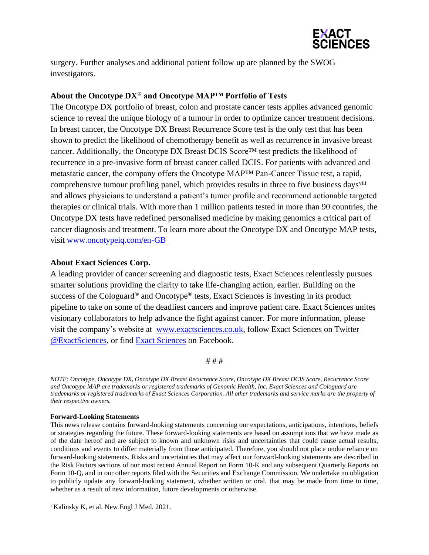

surgery. Further analyses and additional patient follow up are planned by the SWOG investigators.

# **About the Oncotype DX® and Oncotype MAP™ Portfolio of Tests**

The Oncotype DX portfolio of breast, colon and prostate cancer tests applies advanced genomic science to reveal the unique biology of a tumour in order to optimize cancer treatment decisions. In breast cancer, the Oncotype DX Breast Recurrence Score test is the only test that has been shown to predict the likelihood of chemotherapy benefit as well as recurrence in invasive breast cancer. Additionally, the Oncotype DX Breast DCIS Score™ test predicts the likelihood of recurrence in a pre-invasive form of breast cancer called DCIS. For patients with advanced and metastatic cancer, the company offers the Oncotype MAP™ Pan-Cancer Tissue test, a rapid, comprehensive tumour profiling panel, which provides results in three to five business days<sup>viii</sup> and allows physicians to understand a patient's tumor profile and recommend actionable targeted therapies or clinical trials. With more than 1 million patients tested in more than 90 countries, the Oncotype DX tests have redefined personalised medicine by making genomics a critical part of cancer diagnosis and treatment. To learn more about the Oncotype DX and Oncotype MAP tests, visit [www.oncotypeiq.com/en-GB](https://www.oncotypeiq.com/en-GB)

## **About Exact Sciences Corp.**

A leading provider of cancer screening and diagnostic tests, Exact Sciences relentlessly pursues smarter solutions providing the clarity to take life-changing action, earlier. Building on the success of the Cologuard<sup>®</sup> and Oncotype<sup>®</sup> tests, Exact Sciences is investing in its product pipeline to take on some of the deadliest cancers and improve patient care. Exact Sciences unites visionary collaborators to help advance the fight against cancer. For more information, please visit the company's website at [www.exactsciences.co.uk,](http://www.exactsciences.co.uk/) follow Exact Sciences on Twitter [@ExactSciences,](https://c212.net/c/link/?t=0&l=en&o=2661553-1&h=1391520607&u=http%3A%2F%2Fwww.twitter.com%2Fexactsciences&a=%40ExactSciences) or find [Exact Sciences](https://c212.net/c/link/?t=0&l=en&o=2661553-1&h=111266047&u=https%3A%2F%2Fwww.facebook.com%2Fexactsci%2F&a=Exact+Sciences) on Facebook.

### # # #

*NOTE: Oncotype, Oncotype DX, Oncotype DX Breast Recurrence Score, Oncotype DX Breast DCIS Score, Recurrence Score and Oncotype MAP are trademarks or registered trademarks of Genomic Health, Inc. Exact Sciences and Cologuard are trademarks or registered trademarks of Exact Sciences Corporation. All other trademarks and service marks are the property of their respective owners.* 

#### **Forward-Looking Statements**

This news release contains forward-looking statements concerning our expectations, anticipations, intentions, beliefs or strategies regarding the future. These forward-looking statements are based on assumptions that we have made as of the date hereof and are subject to known and unknown risks and uncertainties that could cause actual results, conditions and events to differ materially from those anticipated. Therefore, you should not place undue reliance on forward-looking statements. Risks and uncertainties that may affect our forward-looking statements are described in the Risk Factors sections of our most recent Annual Report on Form 10-K and any subsequent Quarterly Reports on Form 10-Q, and in our other reports filed with the Securities and Exchange Commission. We undertake no obligation to publicly update any forward-looking statement, whether written or oral, that may be made from time to time, whether as a result of new information, future developments or otherwise.

<sup>&</sup>lt;sup>i</sup> Kalinsky K, et al. New Engl J Med. 2021.